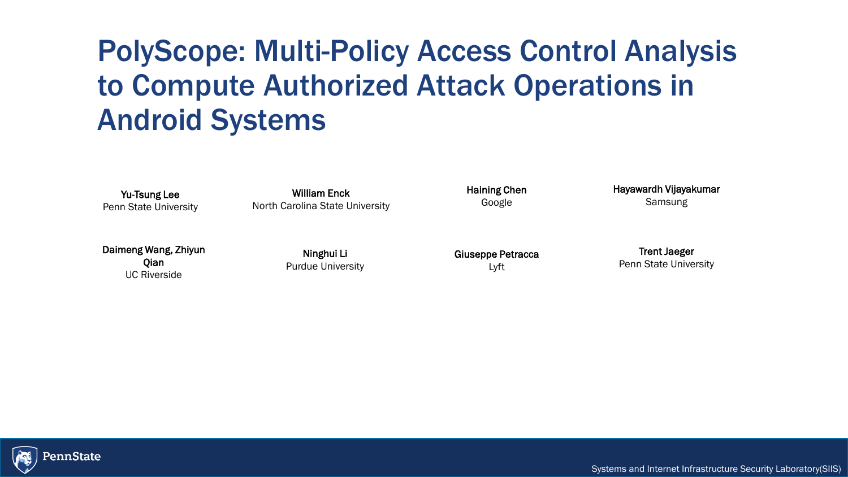## PolyScope: Multi-Policy Access Control Analysis to Compute Authorized Attack Operations in Android Systems

Yu-Tsung Lee Penn State University

William Enck North Carolina State University

Daimeng Wang, Zhiyun Qian UC Riverside

Ninghui Li Purdue University Haining Chen Google

Giuseppe Petracca Lyft

Hayawardh Vijayakumar Samsung

Trent Jaeger Penn State University



Systems and Internet Infrastructure Security Laboratory(SIIS)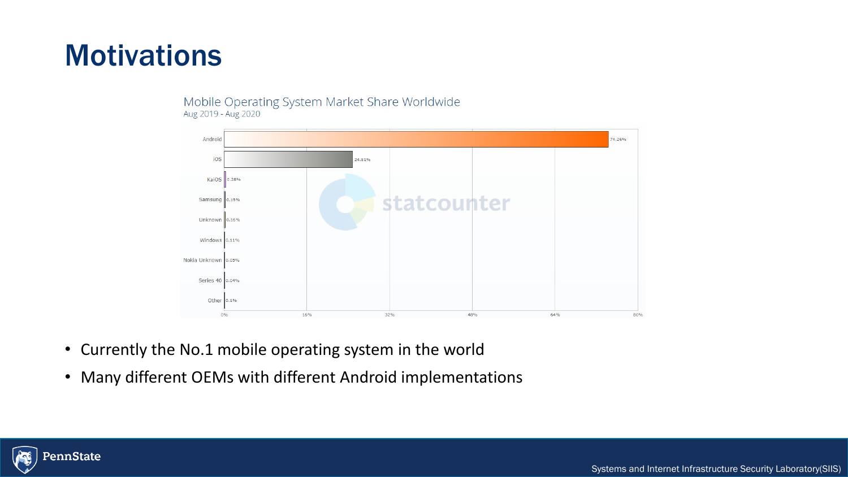## **Motivations**

#### Mobile Operating System Market Share Worldwide Aug 2019 - Aug 2020



- Currently the No.1 mobile operating system in the world
- Many different OEMs with different Android implementations



Systems and Internet Infrastructure Security Laboratory(SIIS)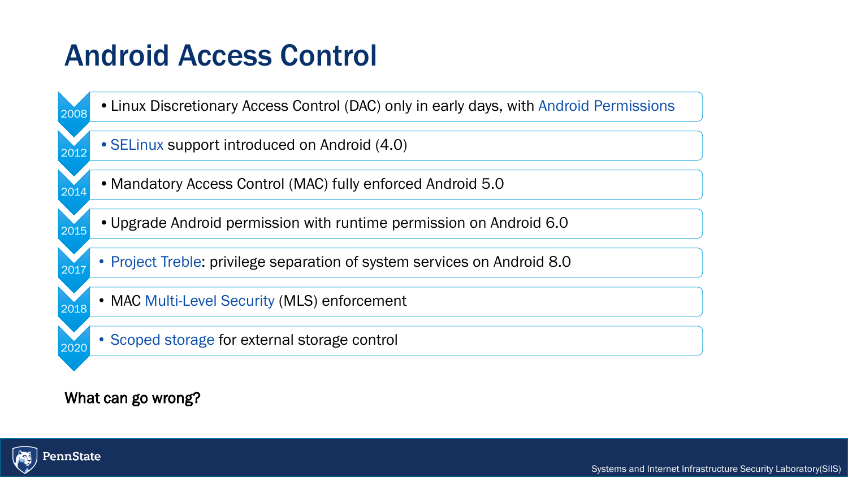## Android Access Control

2008 •Linux Discretionary Access Control (DAC) only in early days, with Android Permissions 2012 • SELinux support introduced on Android (4.0) 2014 •Mandatory Access Control (MAC) fully enforced Android 5.0 2015 •Upgrade Android permission with runtime permission on Android 6.0 **• Project Treble: privilege separation of system services on Android 8.0 • MAC Multi-Level Security (MLS) enforcement** <sup>2020</sup> • Scoped storage for external storage control

#### What can go wrong?

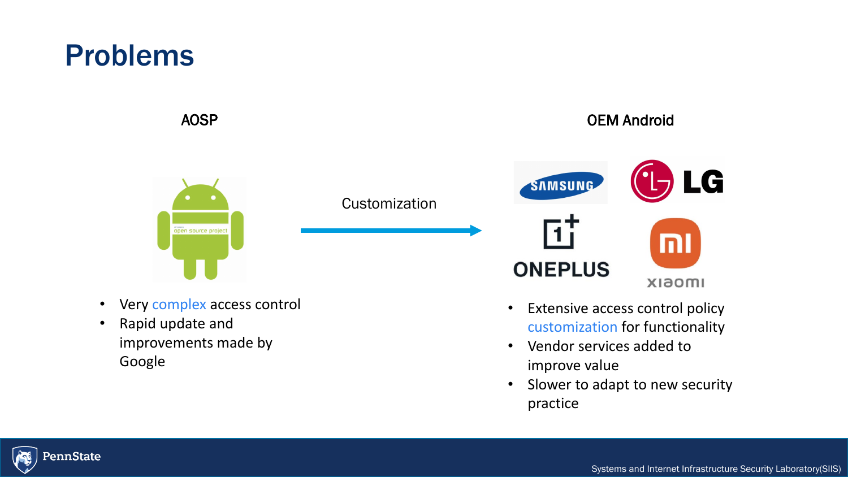## Problems

open source project

**Customization** 

AOSP OEM Android



- Very complex access control
- Rapid update and improvements made by Google
- Extensive access control policy customization for functionality
- Vendor services added to improve value
- Slower to adapt to new security practice

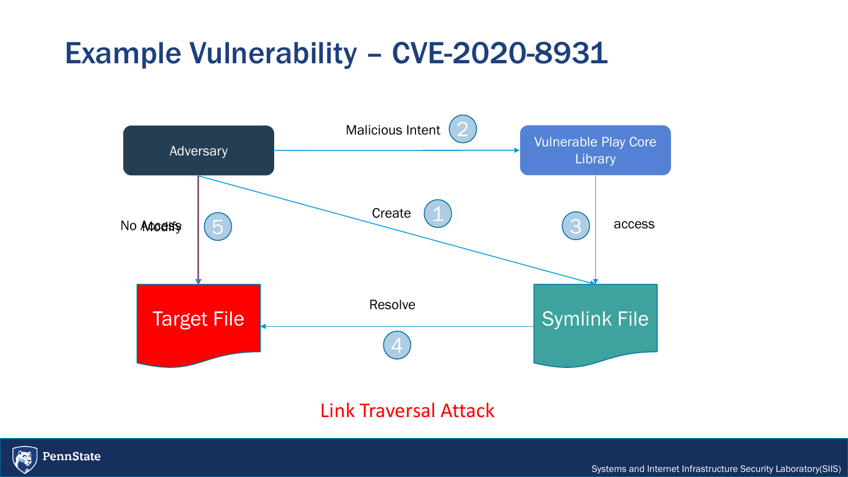## Example Vulnerability – CVE-20 Example Vulnerability – CVE-2020-8931



### Link Traversal Attack



Systems and Internet Infrastructure Security Laboratory(SIIS)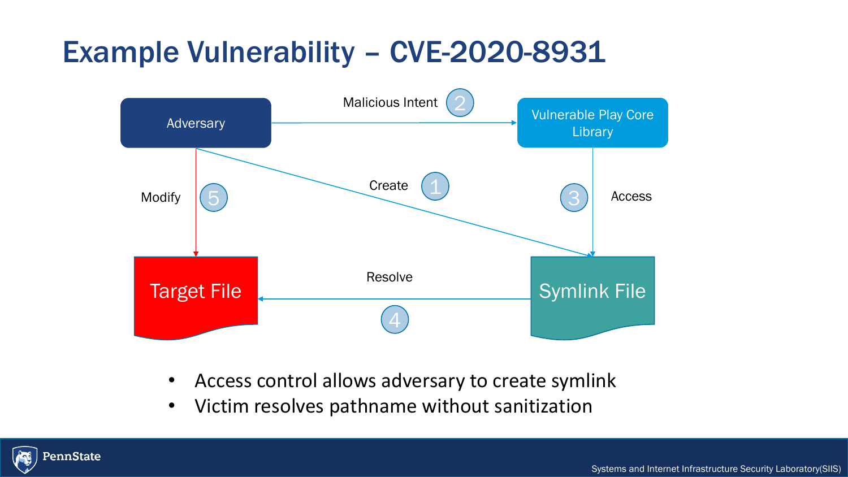## Example Vulnerability – CVE-20 Example Vulnerability – CVE-2020-8931



- Access control allows adversary to create symlink
- Victim resolves pathname without sanitization

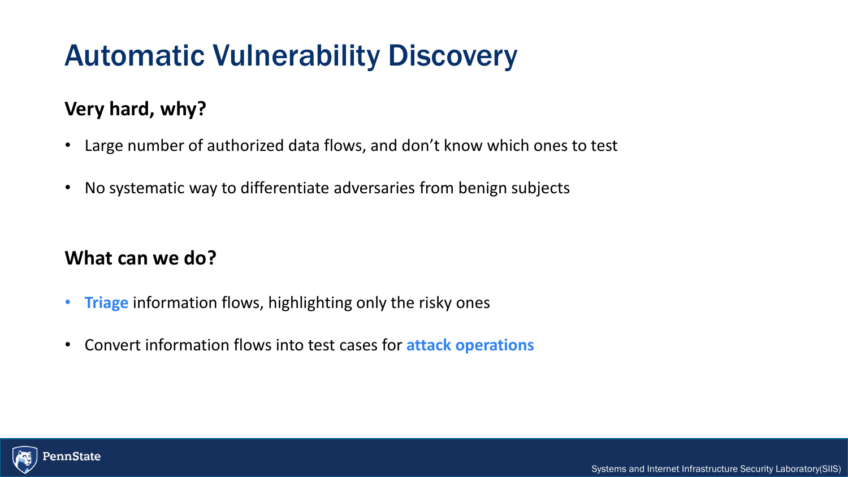## Automatic Vulnerability Discovery

## **Very hard, why?**

- Large number of authorized data flows, and don't know which ones to test
- No systematic way to differentiate adversaries from benign subjects

### **What can we do?**

- **Triage** information flows, highlighting only the risky ones
- Convert information flows into test cases for **attack operations**

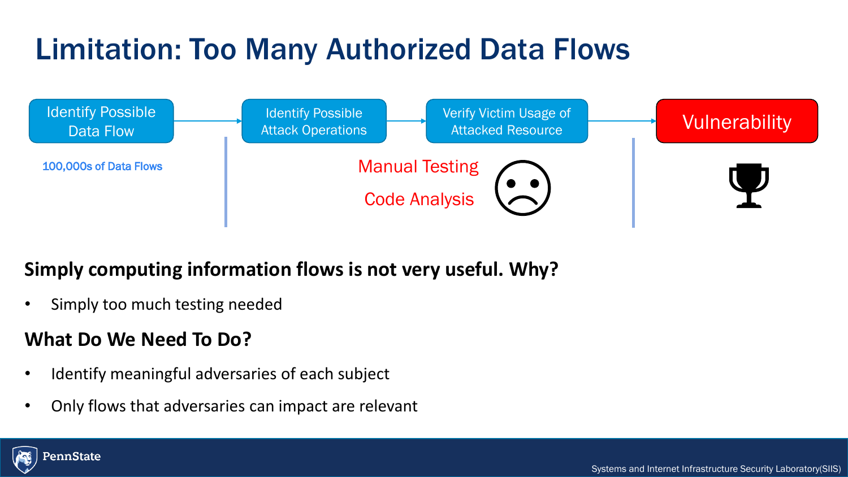### Limitation: Too Many L Limitation: Too Many Authorized Data Flows



## **Simply computing information flows is not very useful. Why?**

• Simply too much testing needed

### **What Do We Need To Do?**

- Identify meaningful adversaries of each subject
- Only flows that adversaries can impact are relevant

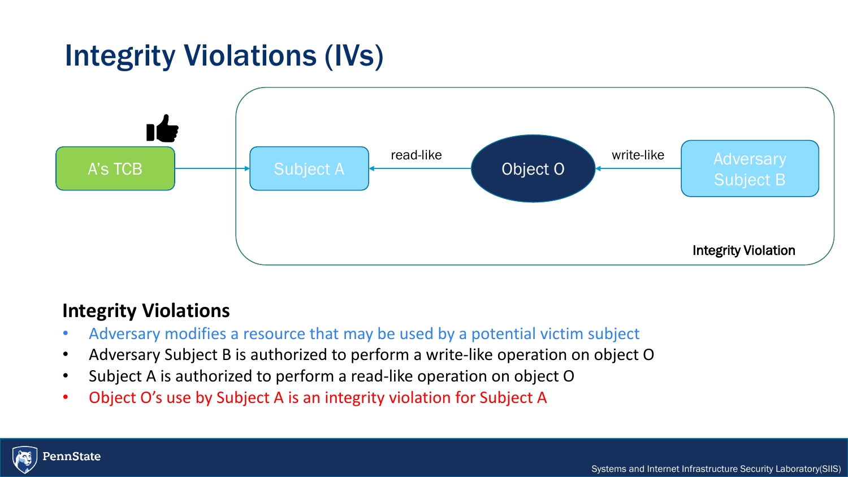## Integrity Violations (IVs)



### **Integrity Violations**

- Adversary modifies a resource that may be used by a potential victim subject
- Adversary Subject B is authorized to perform a write-like operation on object O
- Subject A is authorized to perform a read-like operation on object O
- Object O's use by Subject A is an integrity violation for Subject A

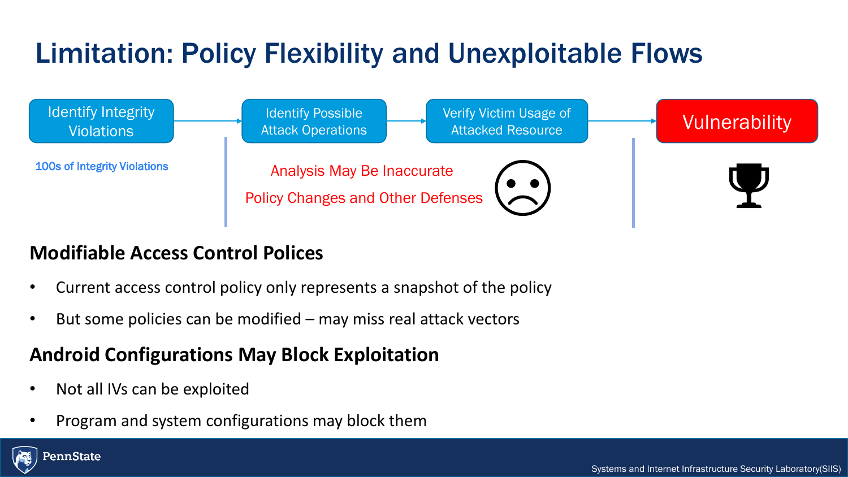## Limitation: Policy Florik Limitation: Policy Flexibility and Unexploitable Flows



## **Modifiable Access Control Polices**

- Current access control policy only represents a snapshot of the policy
- But some policies can be modified  $-$  may miss real attack vectors

### **Android Configurations May Block Exploitation**

- Not all IVs can be exploited
- Program and system configurations may block them

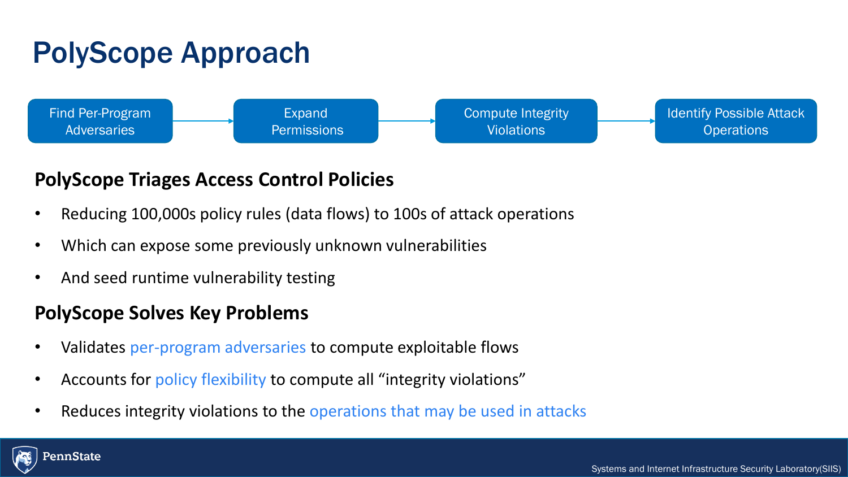## PolyScope Approach



### **PolyScope Triages Access Control Policies**

- Reducing 100,000s policy rules (data flows) to 100s of attack operations
- Which can expose some previously unknown vulnerabilities
- And seed runtime vulnerability testing

### **PolyScope Solves Key Problems**

- Validates per-program adversaries to compute exploitable flows
- Accounts for policy flexibility to compute all "integrity violations"
- Reduces integrity violations to the operations that may be used in attacks

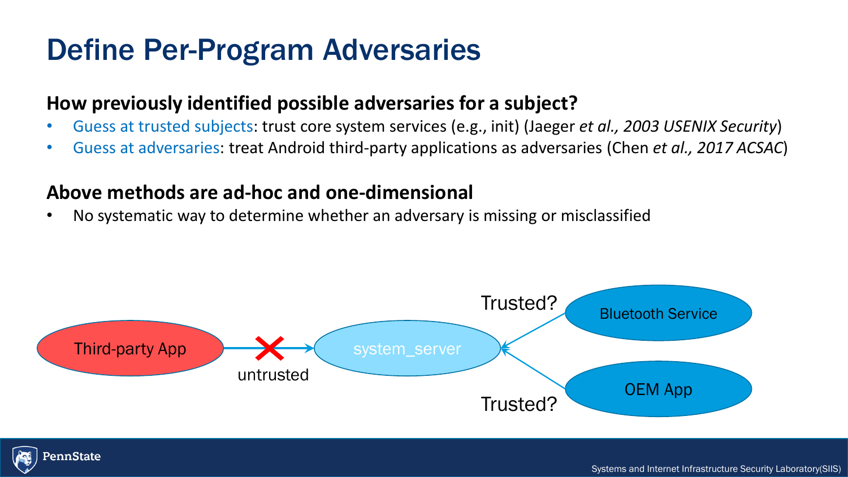## Define Per-Program Adversaries

### **How previously identified possible adversaries for a subject?**

- Guess at trusted subjects: trust core system services (e.g., init) (Jaeger *et al., 2003 USENIX Security*)
- Guess at adversaries: treat Android third-party applications as adversaries (Chen *et al., 2017 ACSAC*)

### **Above methods are ad-hoc and one-dimensional**

• No systematic way to determine whether an adversary is missing or misclassified



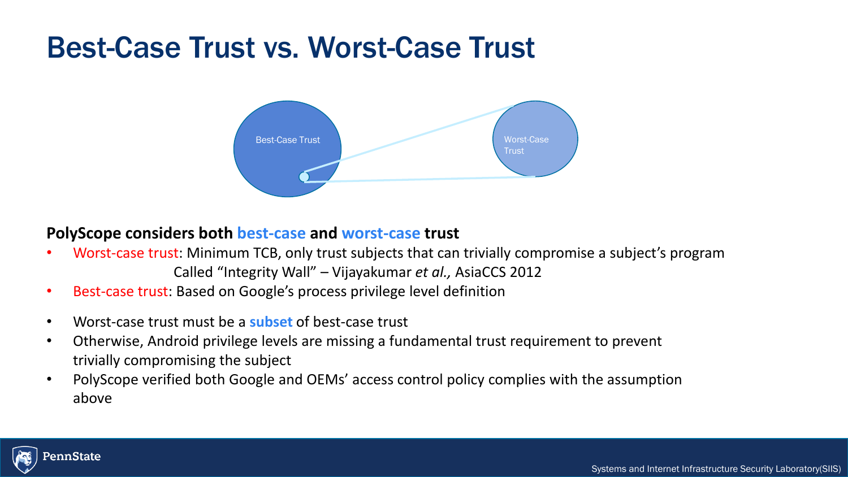## Best-Case Trust vs. Worst-Case Trust



#### **PolyScope considers both best-case and worst-case trust**

- Worst-case trust: Minimum TCB, only trust subjects that can trivially compromise a subject's program Called "Integrity Wall" – Vijayakumar *et al.,* AsiaCCS 2012
- Best-case trust: Based on Google's process privilege level definition
- Worst-case trust must be a **subset** of best-case trust
- Otherwise, Android privilege levels are missing a fundamental trust requirement to prevent trivially compromising the subject
- PolyScope verified both Google and OEMs' access control policy complies with the assumption above

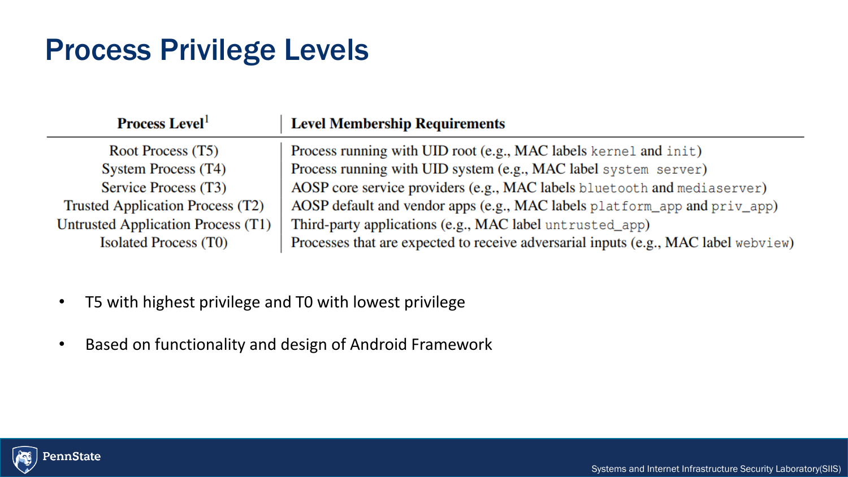## Process Privilege Levels

| <b>Process Level</b>               | <b>Level Membership Requirements</b>                                                |
|------------------------------------|-------------------------------------------------------------------------------------|
| Root Process (T5)                  | Process running with UID root (e.g., MAC labels kernel and init)                    |
| System Process (T4)                | Process running with UID system (e.g., MAC label system server)                     |
| Service Process (T3)               | AOSP core service providers (e.g., MAC labels bluetooth and mediaserver)            |
| Trusted Application Process (T2)   | AOSP default and vendor apps (e.g., MAC labels platform_app and priv_app)           |
| Untrusted Application Process (T1) | Third-party applications (e.g., MAC label untrusted_app)                            |
| <b>Isolated Process (T0)</b>       | Processes that are expected to receive adversarial inputs (e.g., MAC label webview) |

- T5 with highest privilege and T0 with lowest privilege
- Based on functionality and design of Android Framework

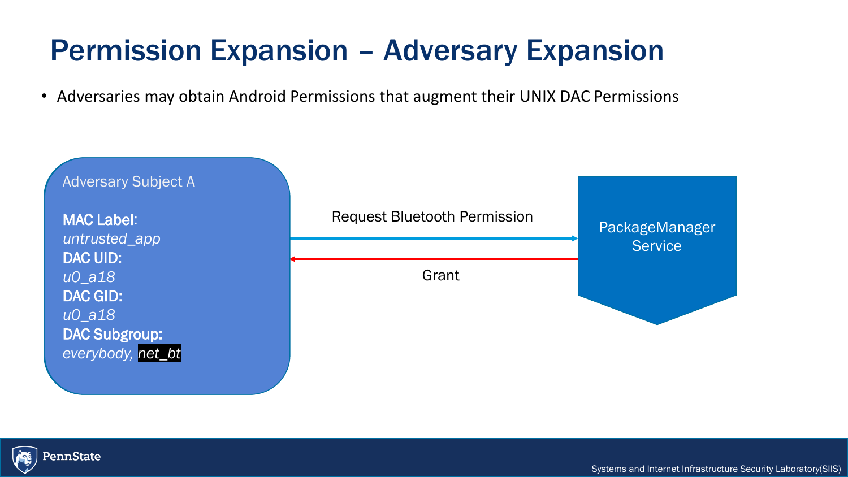## Permission Expansion – Adversary Expansion Permission Expansion – Adversary Expansion

• Adversaries may obtain Android Permissions that augment their UNIX DAC Permissions



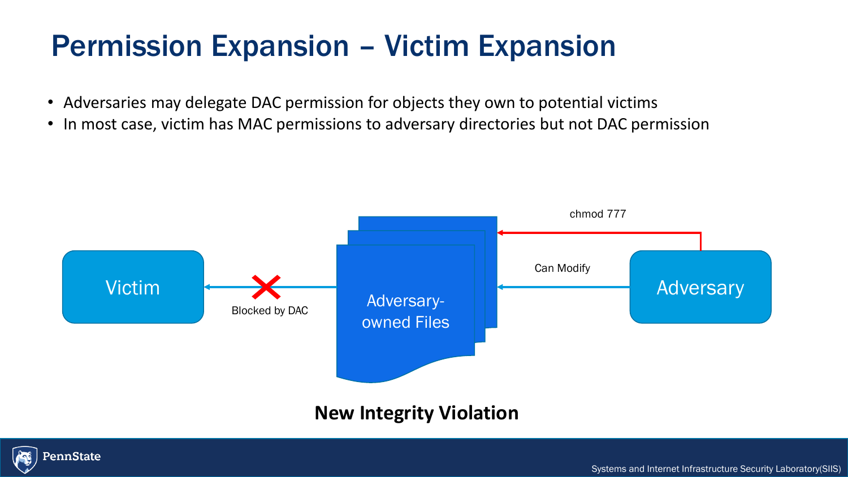## Permission Expansion – Victim Expansion

- Adversaries may delegate DAC permission for objects they own to potential victims
- In most case, victim has MAC permissions to adversary directories but not DAC permission



### **New Integrity Violation**

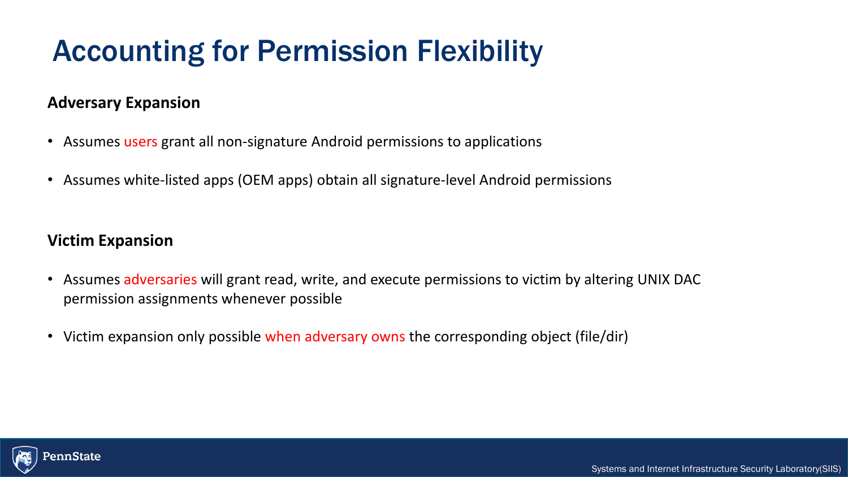## Accounting for Permission Flexibility

#### **Adversary Expansion**

- Assumes users grant all non-signature Android permissions to applications
- Assumes white-listed apps (OEM apps) obtain all signature-level Android permissions

#### **Victim Expansion**

- Assumes adversaries will grant read, write, and execute permissions to victim by altering UNIX DAC permission assignments whenever possible
- Victim expansion only possible when adversary owns the corresponding object (file/dir)

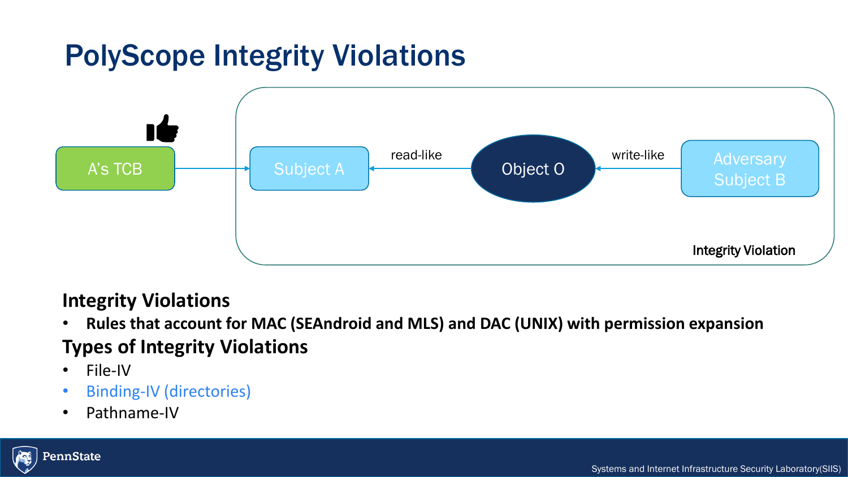## PolyScope Integrity Violations



### **Integrity Violations**

• **Rules that account for MAC (SEAndroid and MLS) and DAC (UNIX) with permission expansion Types of Integrity Violations**

- File-IV
- Binding-IV (directories)
- Pathname-IV

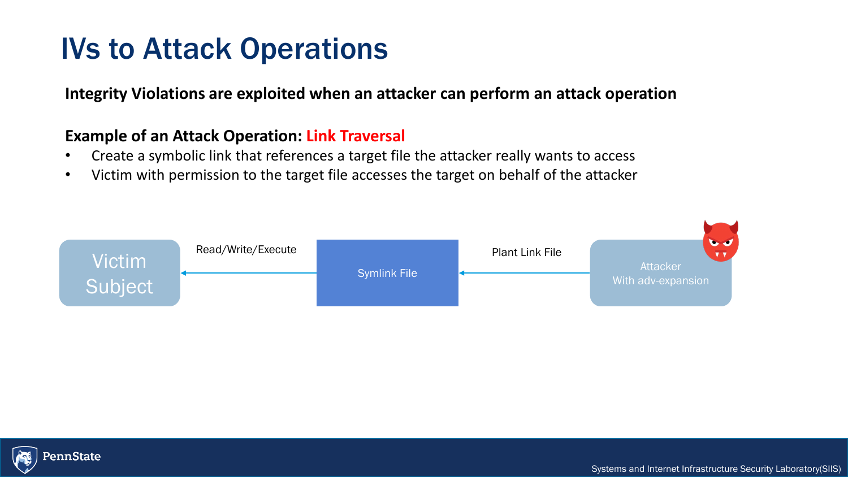## IVs to Attack Operations

**Integrity Violations are exploited when an attacker can perform an attack operation**

#### **Example of an Attack Operation: Link Traversal**

- Create a symbolic link that references a target file the attacker really wants to access
- Victim with permission to the target file accesses the target on behalf of the attacker



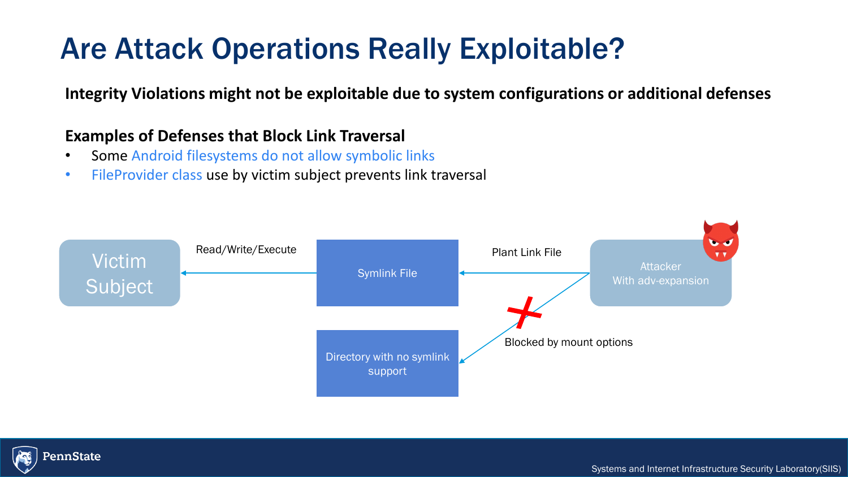## Are Attack Operations Really Exploitable?

**Integrity Violations might not be exploitable due to system configurations or additional defenses**

#### **Examples of Defenses that Block Link Traversal**

- Some Android filesystems do not allow symbolic links
- FileProvider class use by victim subject prevents link traversal



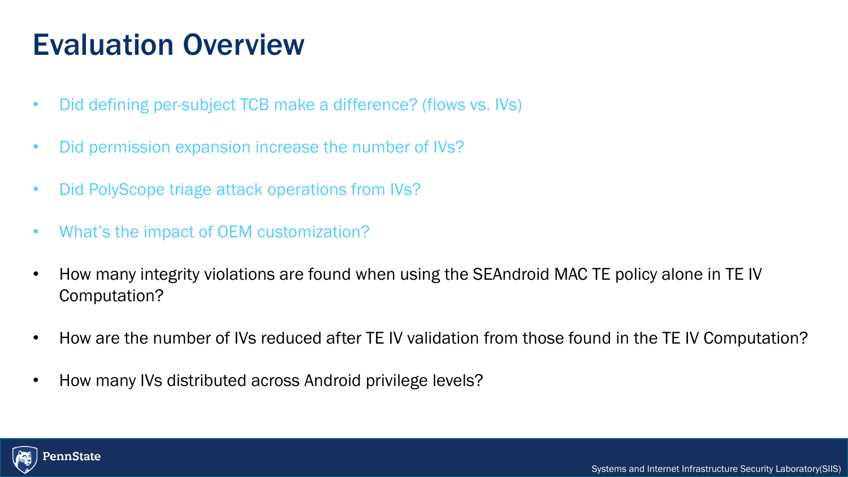### $Evolu$ Evaluation Overview

- Did defining per-subject TCB make a difference? (flows vs. IVs)
- Did permission expansion increase the number of IVs?
- Did PolyScope triage attack operations from IVs?
- What's the impact of OEM customization?
- How many integrity violations are found when using the SEAndroid MAC TE policy alone in TE IV Computation?
- How are the number of IVs reduced after TE IV validation from those found in the TE IV Computation?
- How many IVs distributed across Android privilege levels?

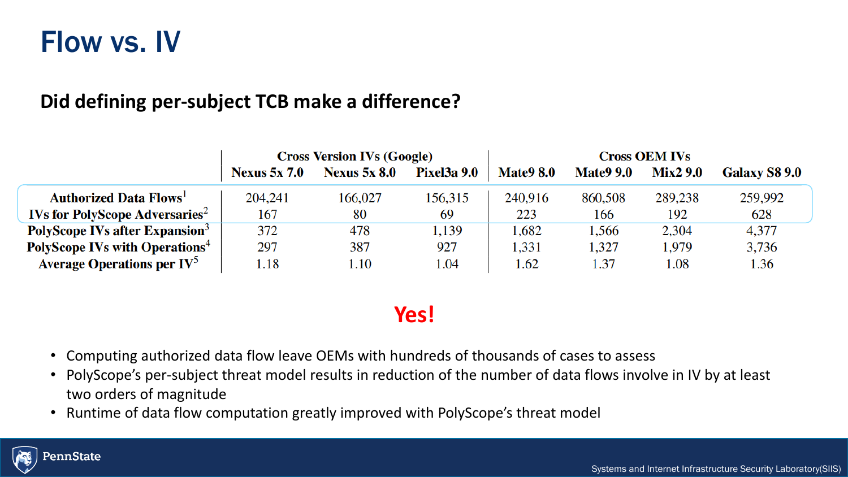## Flow vs. IV

### **Did defining per-subject TCB make a difference?**

|                                                   | <b>Cross Version IVs (Google)</b> |                     |                    | <b>Cross OEM IVs</b> |                  |                 |               |
|---------------------------------------------------|-----------------------------------|---------------------|--------------------|----------------------|------------------|-----------------|---------------|
|                                                   | <b>Nexus 5x 7.0</b>               | <b>Nexus 5x 8.0</b> | <b>Pixel3a 9.0</b> | <b>Mate9 8.0</b>     | <b>Mate9 9.0</b> | <b>Mix2 9.0</b> | Galaxy S8 9.0 |
| <b>Authorized Data Flows</b>                      | 204,241                           | 166,027             | 156,315            | 240,916              | 860,508          | 289,238         | 259,992       |
| <b>IVs for PolyScope Adversaries</b> <sup>2</sup> | 167                               | 80                  | 69                 | 223                  | 166              | 192             | 628           |
| PolyScope IVs after Expansion <sup>3</sup>        | 372                               | 478                 | 1,139              | 1,682                | 1,566            | 2,304           | 4,377         |
| <b>PolyScope IVs with Operations<sup>4</sup></b>  | 297                               | 387                 | 927                | 1,331                | 1,327            | 1,979           | 3,736         |
| Average Operations per $IV^5$                     | l.18                              | 1.10                | 1.04               | 1.62                 | 1.37             | 1.08            | 1.36          |

### **Yes!**

- Computing authorized data flow leave OEMs with hundreds of thousands of cases to assess
- PolyScope's per-subject threat model results in reduction of the number of data flows involve in IV by at least two orders of magnitude
- Runtime of data flow computation greatly improved with PolyScope's threat model

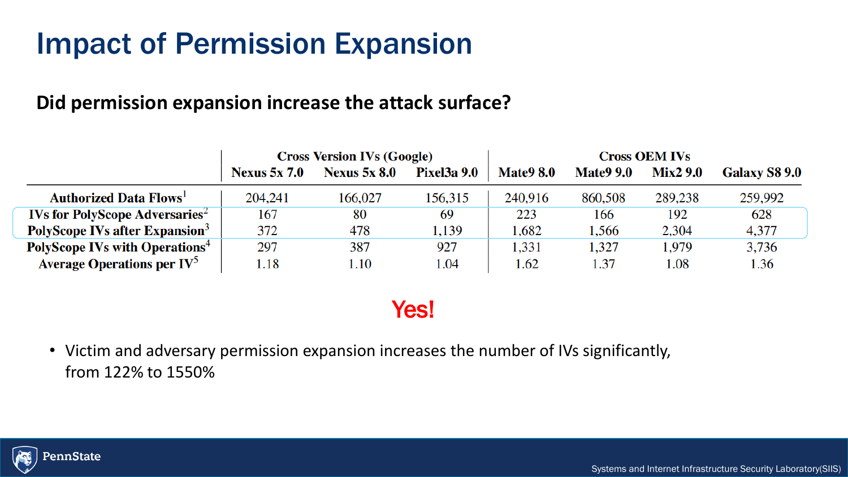## Impact of Permission Expansion

### **Did permission expansion increase the attack surface?**

|                                                   | <b>Cross Version IVs (Google)</b> |                     |                    | <b>Cross OEM IVs</b> |                  |                 |                      |
|---------------------------------------------------|-----------------------------------|---------------------|--------------------|----------------------|------------------|-----------------|----------------------|
|                                                   | <b>Nexus 5x 7.0</b>               | <b>Nexus 5x 8.0</b> | <b>Pixel3a 9.0</b> | <b>Mate9 8.0</b>     | <b>Mate9 9.0</b> | <b>Mix2 9.0</b> | <b>Galaxy S8 9.0</b> |
| <b>Authorized Data Flows</b>                      | 204,241                           | 166,027             | 156,315            | 240,916              | 860,508          | 289,238         | 259,992              |
| <b>IVs for PolyScope Adversaries</b> <sup>2</sup> | 167                               | 80                  | 69                 | 223                  | 166              | 192             | 628                  |
| PolyScope IVs after Expansion <sup>3</sup>        | 372                               | 478                 | 1,139              | 1,682                | .566             | 2,304           | 4,377                |
| <b>PolyScope IVs with Operations</b> <sup>4</sup> | 297                               | 387                 | 927                | 1,331                | 1,327            | 1,979           | 3,736                |
| <b>Average Operations per <math>IV^5</math></b>   | 1.18                              | l.10                | 1.04               | 1.62                 | l.37             | 1.08            | 1.36                 |

## Yes!

• Victim and adversary permission expansion increases the number of IVs significantly, from 122% to 1550%

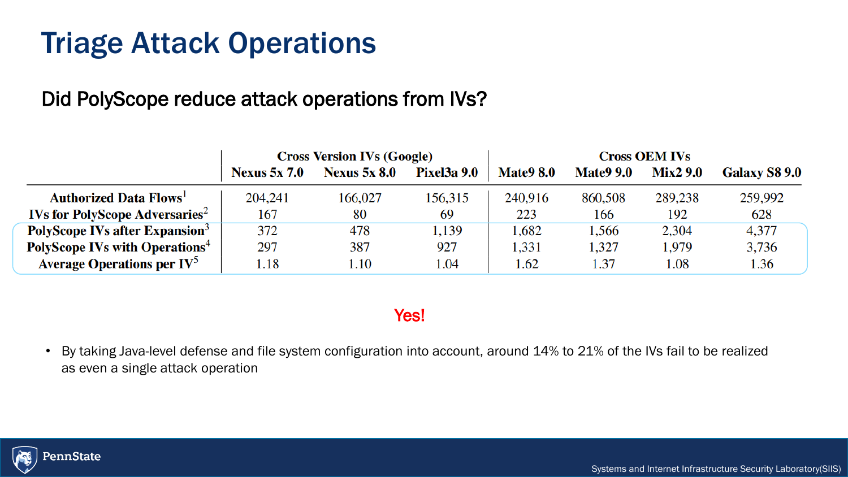## Triage Attack Operations

## Did PolyScope reduce attack operations from IVs?

|                                                   | <b>Cross Version IVs (Google)</b> |                     |                    | <b>Cross OEM IVs</b> |                  |                 |                      |
|---------------------------------------------------|-----------------------------------|---------------------|--------------------|----------------------|------------------|-----------------|----------------------|
|                                                   | <b>Nexus 5x 7.0</b>               | <b>Nexus 5x 8.0</b> | <b>Pixel3a 9.0</b> | <b>Mate9 8.0</b>     | <b>Mate9 9.0</b> | <b>Mix2 9.0</b> | <b>Galaxy S8 9.0</b> |
| <b>Authorized Data Flows</b>                      | 204,241                           | 166,027             | 156,315            | 240,916              | 860,508          | 289,238         | 259,992              |
| <b>IVs for PolyScope Adversaries</b> <sup>2</sup> | 167                               | 80                  | 69                 | 223                  | 166              | 192             | 628                  |
| PolyScope IVs after Expansion <sup>3</sup>        | 372                               | 478                 | 1,139              | 1,682                | .566             | 2,304           | 4,377                |
| <b>PolyScope IVs with Operations</b> <sup>4</sup> | 297                               | 387                 | 927                | 1,331                | 1,327            | 1,979           | 3,736                |
| <b>Average Operations per <math>IV^5</math></b>   | 1.18                              | 1.10                | 1.04               | 1.62                 | 1.37             | 1.08            | 1.36                 |

Yes!

• By taking Java-level defense and file system configuration into account, around 14% to 21% of the IVs fail to be realized as even a single attack operation

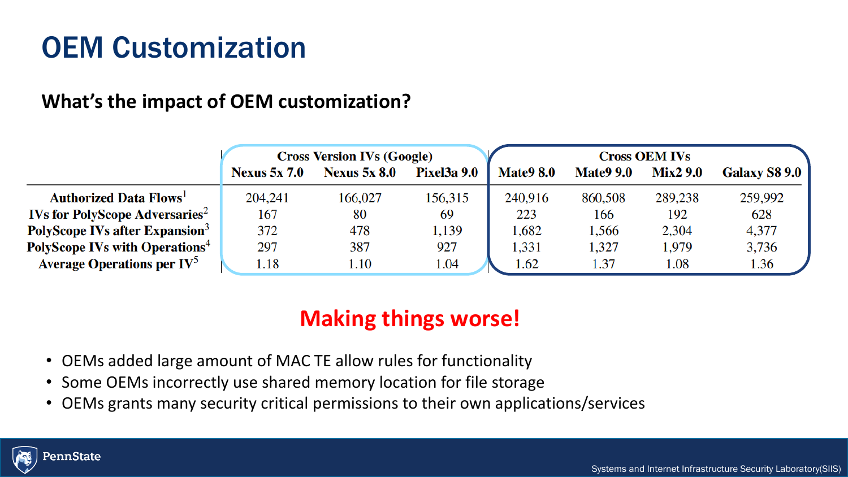### OEM Customization OEM Customization

### **What's the impact of OEM customization?**

|                                                   | <b>Cross Version IVs (Google)</b> |                     |                    | <b>Cross OEM IVs</b> |                  |                 |                      |
|---------------------------------------------------|-----------------------------------|---------------------|--------------------|----------------------|------------------|-----------------|----------------------|
|                                                   | <b>Nexus 5x 7.0</b>               | <b>Nexus 5x 8.0</b> | <b>Pixel3a 9.0</b> | <b>Mate9 8.0</b>     | <b>Mate9 9.0</b> | <b>Mix2 9.0</b> | <b>Galaxy S8 9.0</b> |
| <b>Authorized Data Flows</b>                      | 204,241                           | 166,027             | 156,315            | 240,916              | 860,508          | 289,238         | 259,992              |
| <b>IVs for PolyScope Adversaries</b> <sup>2</sup> | 167                               | 80                  | 69                 | 223                  | 166              | 192             | 628                  |
| PolyScope IVs after Expansion <sup>3</sup>        | 372                               | 478                 | 1,139              | 1,682                | .566             | 2,304           | 4,377                |
| <b>PolyScope IVs with Operations</b> <sup>4</sup> | 297                               | 387                 | 927                | 1,331                | 1,327            | 1,979           | 3,736                |
| <b>Average Operations per <math>IV^5</math></b>   | 1.18                              | 1.10                | 1.04               | 1.62                 | 1.37             | 1.08            | 1.36                 |

## **Making things worse!**

- OEMs added large amount of MAC TE allow rules for functionality
- Some OEMs incorrectly use shared memory location for file storage
- OEMs grants many security critical permissions to their own applications/services

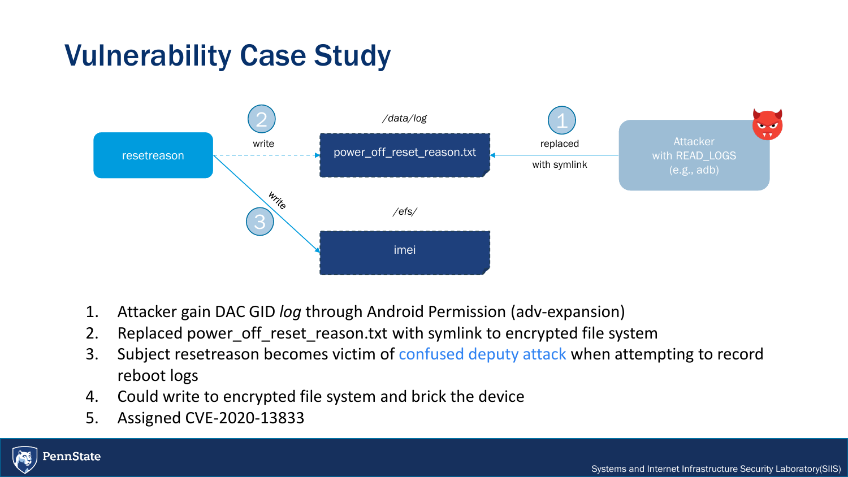## Vulnerability Case Study



- 1. Attacker gain DAC GID *log* through Android Permission (adv-expansion)
- 2. Replaced power\_off\_reset\_reason.txt with symlink to encrypted file system
- 3. Subject resetreason becomes victim of confused deputy attack when attempting to record reboot logs
- 4. Could write to encrypted file system and brick the device
- 5. Assigned CVE-2020-13833

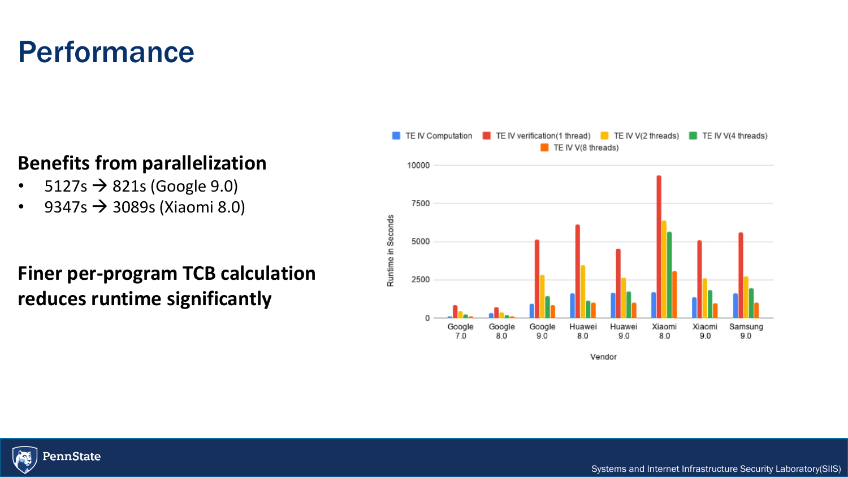## Performance

### **Benefits from parallelization**

- $5127s \rightarrow 821s$  (Google 9.0)
- 9347s  $\rightarrow$  3089s (Xiaomi 8.0)

## **Finer per-program TCB calculation reduces runtime significantly**





Systems and Internet Infrastructure Security Laboratory(SIIS)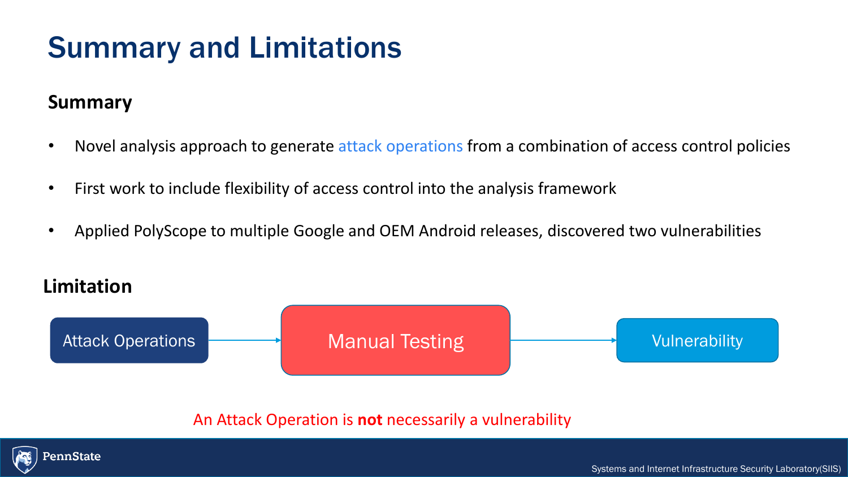## Summary and Limitations

### **Summary**

- Novel analysis approach to generate attack operations from a combination of access control policies
- First work to include flexibility of access control into the analysis framework
- Applied PolyScope to multiple Google and OEM Android releases, discovered two vulnerabilities

### **Limitation**



An Attack Operation is **not** necessarily a vulnerability